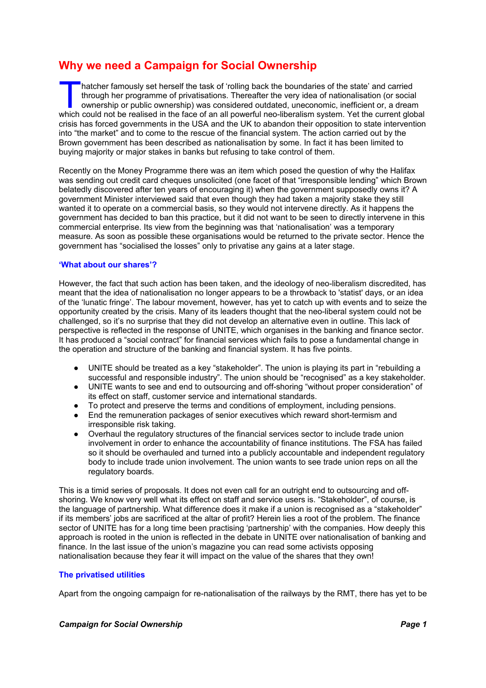# **Why we need a Campaign for Social Ownership**

hatcher famously set herself the task of 'rolling back the boundaries of the state' and carried through her programme of privatisations. Thereafter the very idea of nationalisation (or social ownership or public ownership) was considered outdated, uneconomic, inefficient or, a dream hatcher famously set herself the task of 'rolling back the boundaries of the state' and carried<br>through her programme of privatisations. Thereafter the very idea of nationalisation (or social<br>ownership or public ownership) crisis has forced governments in the USA and the UK to abandon their opposition to state intervention into "the market" and to come to the rescue of the financial system. The action carried out by the Brown government has been described as nationalisation by some. In fact it has been limited to buying majority or major stakes in banks but refusing to take control of them.

Recently on the Money Programme there was an item which posed the question of why the Halifax was sending out credit card cheques unsolicited (one facet of that "irresponsible lending" which Brown belatedly discovered after ten years of encouraging it) when the government supposedly owns it? A government Minister interviewed said that even though they had taken a majority stake they still wanted it to operate on a commercial basis, so they would not intervene directly. As it happens the government has decided to ban this practice, but it did not want to be seen to directly intervene in this commercial enterprise. Its view from the beginning was that 'nationalisation' was a temporary measure. As soon as possible these organisations would be returned to the private sector. Hence the government has "socialised the losses" only to privatise any gains at a later stage.

#### **'What about our shares'?**

However, the fact that such action has been taken, and the ideology of neo-liberalism discredited, has meant that the idea of nationalisation no longer appears to be a throwback to 'statist' days, or an idea of the 'lunatic fringe'. The labour movement, however, has yet to catch up with events and to seize the opportunity created by the crisis. Many of its leaders thought that the neo-liberal system could not be challenged, so it's no surprise that they did not develop an alternative even in outline. This lack of perspective is reflected in the response of UNITE, which organises in the banking and finance sector. It has produced a "social contract" for financial services which fails to pose a fundamental change in the operation and structure of the banking and financial system. It has five points.

- UNITE should be treated as a key "stakeholder". The union is playing its part in "rebuilding a successful and responsible industry". The union should be "recognised" as a key stakeholder.
- UNITE wants to see and end to outsourcing and off-shoring "without proper consideration" of its effect on staff, customer service and international standards.
- To protect and preserve the terms and conditions of employment, including pensions.
- End the remuneration packages of senior executives which reward short-termism and irresponsible risk taking.
- Overhaul the regulatory structures of the financial services sector to include trade union involvement in order to enhance the accountability of finance institutions. The FSA has failed so it should be overhauled and turned into a publicly accountable and independent regulatory body to include trade union involvement. The union wants to see trade union reps on all the regulatory boards.

This is a timid series of proposals. It does not even call for an outright end to outsourcing and offshoring. We know very well what its effect on staff and service users is. "Stakeholder", of course, is the language of partnership. What difference does it make if a union is recognised as a "stakeholder" if its members' jobs are sacrificed at the altar of profit? Herein lies a root of the problem. The finance sector of UNITE has for a long time been practising 'partnership' with the companies. How deeply this approach is rooted in the union is reflected in the debate in UNITE over nationalisation of banking and finance. In the last issue of the union's magazine you can read some activists opposing nationalisation because they fear it will impact on the value of the shares that they own!

### **The privatised utilities**

Apart from the ongoing campaign for re-nationalisation of the railways by the RMT, there has yet to be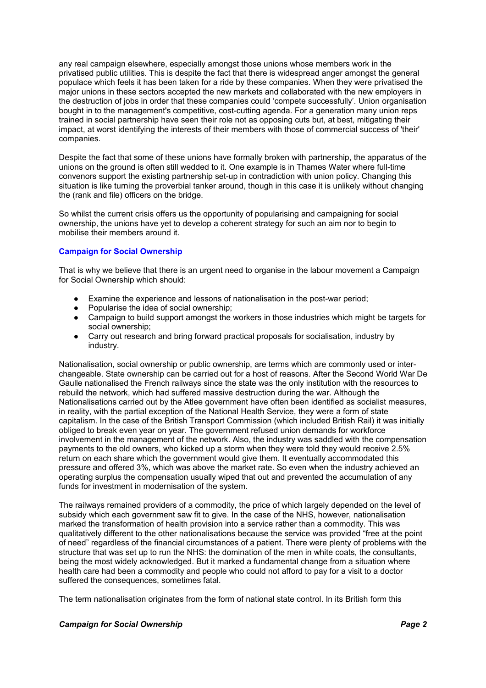any real campaign elsewhere, especially amongst those unions whose members work in the privatised public utilities. This is despite the fact that there is widespread anger amongst the general populace which feels it has been taken for a ride by these companies. When they were privatised the major unions in these sectors accepted the new markets and collaborated with the new employers in the destruction of jobs in order that these companies could 'compete successfully'. Union organisation bought in to the management's competitive, cost-cutting agenda. For a generation many union reps trained in social partnership have seen their role not as opposing cuts but, at best, mitigating their impact, at worst identifying the interests of their members with those of commercial success of 'their' companies.

Despite the fact that some of these unions have formally broken with partnership, the apparatus of the unions on the ground is often still wedded to it. One example is in Thames Water where full-time convenors support the existing partnership set-up in contradiction with union policy. Changing this situation is like turning the proverbial tanker around, though in this case it is unlikely without changing the (rank and file) officers on the bridge.

So whilst the current crisis offers us the opportunity of popularising and campaigning for social ownership, the unions have yet to develop a coherent strategy for such an aim nor to begin to mobilise their members around it.

## **Campaign for Social Ownership**

That is why we believe that there is an urgent need to organise in the labour movement a Campaign for Social Ownership which should:

- Examine the experience and lessons of nationalisation in the post-war period;
- Popularise the idea of social ownership:
- Campaign to build support amongst the workers in those industries which might be targets for social ownership;
- Carry out research and bring forward practical proposals for socialisation, industry by industry.

Nationalisation, social ownership or public ownership, are terms which are commonly used or interchangeable. State ownership can be carried out for a host of reasons. After the Second World War De Gaulle nationalised the French railways since the state was the only institution with the resources to rebuild the network, which had suffered massive destruction during the war. Although the Nationalisations carried out by the Atlee government have often been identified as socialist measures, in reality, with the partial exception of the National Health Service, they were a form of state capitalism. In the case of the British Transport Commission (which included British Rail) it was initially obliged to break even year on year. The government refused union demands for workforce involvement in the management of the network. Also, the industry was saddled with the compensation payments to the old owners, who kicked up a storm when they were told they would receive 2.5% return on each share which the government would give them. It eventually accommodated this pressure and offered 3%, which was above the market rate. So even when the industry achieved an operating surplus the compensation usually wiped that out and prevented the accumulation of any funds for investment in modernisation of the system.

The railways remained providers of a commodity, the price of which largely depended on the level of subsidy which each government saw fit to give. In the case of the NHS, however, nationalisation marked the transformation of health provision into a service rather than a commodity. This was qualitatively different to the other nationalisations because the service was provided "free at the point of need" regardless of the financial circumstances of a patient. There were plenty of problems with the structure that was set up to run the NHS: the domination of the men in white coats, the consultants, being the most widely acknowledged. But it marked a fundamental change from a situation where health care had been a commodity and people who could not afford to pay for a visit to a doctor suffered the consequences, sometimes fatal.

The term nationalisation originates from the form of national state control. In its British form this

#### *Campaign for Social Ownership Page 2*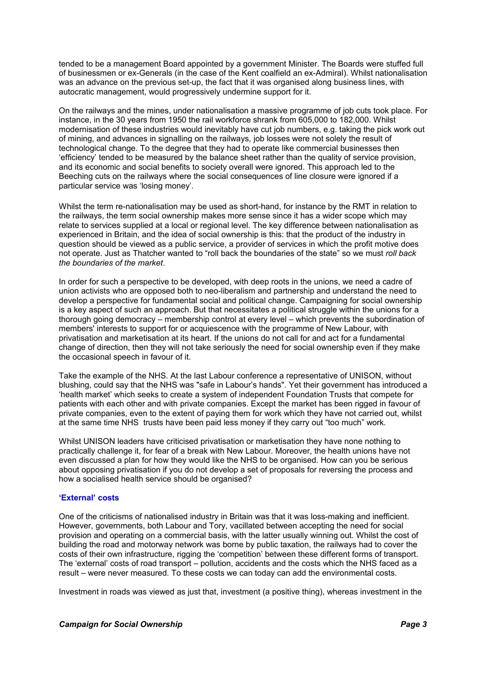tended to be a management Board appointed by a government Minister. The Boards were stuffed full of businessmen or ex-Generals (in the case of the Kent coalfield an ex-Admiral). Whilst nationalisation was an advance on the previous set-up, the fact that it was organised along business lines, with autocratic management, would progressively undermine support for it.

On the railways and the mines, under nationalisation a massive programme of job cuts took place. For instance, in the 30 years from 1950 the rail workforce shrank from 605,000 to 182,000. Whilst modernisation of these industries would inevitably have cut job numbers, e.g. taking the pick work out of mining, and advances in signalling on the railways, job losses were not solely the result of technological change. To the degree that they had to operate like commercial businesses then 'efficiency' tended to be measured by the balance sheet rather than the quality of service provision, and its economic and social benefits to society overall were ignored. This approach led to the Beeching cuts on the railways where the social consequences of line closure were ignored if a particular service was 'losing money'.

Whilst the term re-nationalisation may be used as short-hand, for instance by the RMT in relation to the railways, the term social ownership makes more sense since it has a wider scope which may relate to services supplied at a local or regional level. The key difference between nationalisation as experienced in Britain, and the idea of social ownership is this: that the product of the industry in question should be viewed as a public service, a provider of services in which the profit motive does not operate. Just as Thatcher wanted to "roll back the boundaries of the state" so we must *roll back the boundaries of the market*.

In order for such a perspective to be developed, with deep roots in the unions, we need a cadre of union activists who are opposed both to neo-liberalism and partnership and understand the need to develop a perspective for fundamental social and political change. Campaigning for social ownership is a key aspect of such an approach. But that necessitates a political struggle within the unions for a thorough going democracy – membership control at every level – which prevents the subordination of members' interests to support for or acquiescence with the programme of New Labour, with privatisation and marketisation at its heart. If the unions do not call for and act for a fundamental change of direction, then they will not take seriously the need for social ownership even if they make the occasional speech in favour of it.

Take the example of the NHS. At the last Labour conference a representative of UNISON, without blushing, could say that the NHS was "safe in Labour's hands". Yet their government has introduced a 'health market' which seeks to create a system of independent Foundation Trusts that compete for patients with each other and with private companies. Except the market has been rigged in favour of private companies, even to the extent of paying them for work which they have not carried out, whilst at the same time NHS trusts have been paid less money if they carry out "too much" work.

Whilst UNISON leaders have criticised privatisation or marketisation they have none nothing to practically challenge it, for fear of a break with New Labour. Moreover, the health unions have not even discussed a plan for how they would like the NHS to be organised. How can you be serious about opposing privatisation if you do not develop a set of proposals for reversing the process and how a socialised health service should be organised?

#### **'External' costs**

One of the criticisms of nationalised industry in Britain was that it was loss-making and inefficient. However, governments, both Labour and Tory, vacillated between accepting the need for social provision and operating on a commercial basis, with the latter usually winning out. Whilst the cost of building the road and motorway network was borne by public taxation, the railways had to cover the costs of their own infrastructure, rigging the 'competition' between these different forms of transport. The 'external' costs of road transport – pollution, accidents and the costs which the NHS faced as a result – were never measured. To these costs we can today can add the environmental costs.

Investment in roads was viewed as just that, investment (a positive thing), whereas investment in the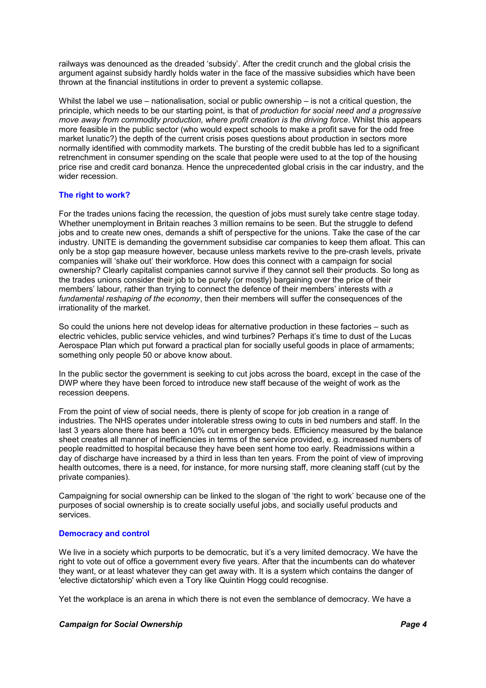railways was denounced as the dreaded 'subsidy'. After the credit crunch and the global crisis the argument against subsidy hardly holds water in the face of the massive subsidies which have been thrown at the financial institutions in order to prevent a systemic collapse.

Whilst the label we use – nationalisation, social or public ownership – is not a critical question, the principle, which needs to be our starting point, is that of *production for social need and a progressive move away from commodity production, where profit creation is the driving force*. Whilst this appears more feasible in the public sector (who would expect schools to make a profit save for the odd free market lunatic?) the depth of the current crisis poses questions about production in sectors more normally identified with commodity markets. The bursting of the credit bubble has led to a significant retrenchment in consumer spending on the scale that people were used to at the top of the housing price rise and credit card bonanza. Hence the unprecedented global crisis in the car industry, and the wider recession.

#### **The right to work?**

For the trades unions facing the recession, the question of jobs must surely take centre stage today. Whether unemployment in Britain reaches 3 million remains to be seen. But the struggle to defend jobs and to create new ones, demands a shift of perspective for the unions. Take the case of the car industry. UNITE is demanding the government subsidise car companies to keep them afloat. This can only be a stop gap measure however, because unless markets revive to the pre-crash levels, private companies will 'shake out' their workforce. How does this connect with a campaign for social ownership? Clearly capitalist companies cannot survive if they cannot sell their products. So long as the trades unions consider their job to be purely (or mostly) bargaining over the price of their members' labour, rather than trying to connect the defence of their members' interests with *a fundamental reshaping of the economy*, then their members will suffer the consequences of the irrationality of the market.

So could the unions here not develop ideas for alternative production in these factories – such as electric vehicles, public service vehicles, and wind turbines? Perhaps it's time to dust of the Lucas Aerospace Plan which put forward a practical plan for socially useful goods in place of armaments; something only people 50 or above know about.

In the public sector the government is seeking to cut jobs across the board, except in the case of the DWP where they have been forced to introduce new staff because of the weight of work as the recession deepens.

From the point of view of social needs, there is plenty of scope for job creation in a range of industries. The NHS operates under intolerable stress owing to cuts in bed numbers and staff. In the last 3 years alone there has been a 10% cut in emergency beds. Efficiency measured by the balance sheet creates all manner of inefficiencies in terms of the service provided, e.g. increased numbers of people readmitted to hospital because they have been sent home too early. Readmissions within a day of discharge have increased by a third in less than ten years. From the point of view of improving health outcomes, there is a need, for instance, for more nursing staff, more cleaning staff (cut by the private companies).

Campaigning for social ownership can be linked to the slogan of 'the right to work' because one of the purposes of social ownership is to create socially useful jobs, and socially useful products and services.

#### **Democracy and control**

We live in a society which purports to be democratic, but it's a very limited democracy. We have the right to vote out of office a government every five years. After that the incumbents can do whatever they want, or at least whatever they can get away with. It is a system which contains the danger of 'elective dictatorship' which even a Tory like Quintin Hogg could recognise.

Yet the workplace is an arena in which there is not even the semblance of democracy. We have a

#### *Campaign for Social Ownership Page 4*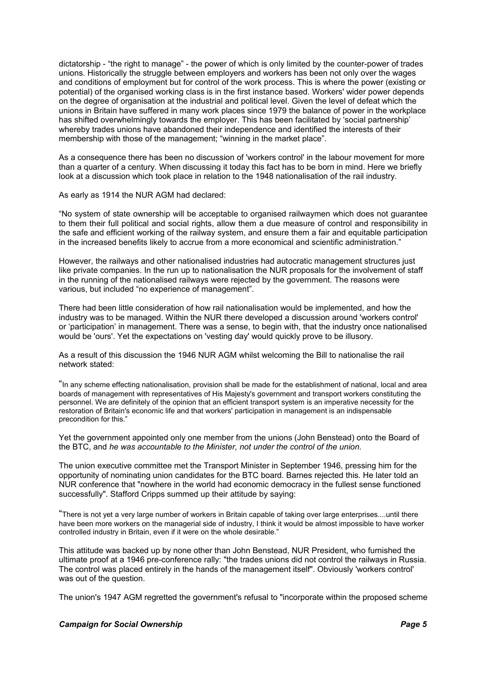dictatorship - "the right to manage" - the power of which is only limited by the counter-power of trades unions. Historically the struggle between employers and workers has been not only over the wages and conditions of employment but for control of the work process. This is where the power (existing or potential) of the organised working class is in the first instance based. Workers' wider power depends on the degree of organisation at the industrial and political level. Given the level of defeat which the unions in Britain have suffered in many work places since 1979 the balance of power in the workplace has shifted overwhelmingly towards the employer. This has been facilitated by 'social partnership' whereby trades unions have abandoned their independence and identified the interests of their membership with those of the management; "winning in the market place".

As a consequence there has been no discussion of 'workers control' in the labour movement for more than a quarter of a century. When discussing it today this fact has to be born in mind. Here we briefly look at a discussion which took place in relation to the 1948 nationalisation of the rail industry.

As early as 1914 the NUR AGM had declared:

"No system of state ownership will be acceptable to organised railwaymen which does not guarantee to them their full political and social rights, allow them a due measure of control and responsibility in the safe and efficient working of the railway system, and ensure them a fair and equitable participation in the increased benefits likely to accrue from a more economical and scientific administration."

However, the railways and other nationalised industries had autocratic management structures just like private companies. In the run up to nationalisation the NUR proposals for the involvement of staff in the running of the nationalised railways were rejected by the government. The reasons were various, but included "no experience of management".

There had been little consideration of how rail nationalisation would be implemented, and how the industry was to be managed. Within the NUR there developed a discussion around 'workers control' or 'participation' in management. There was a sense, to begin with, that the industry once nationalised would be 'ours'. Yet the expectations on 'vesting day' would quickly prove to be illusory.

As a result of this discussion the 1946 NUR AGM whilst welcoming the Bill to nationalise the rail network stated:

"In any scheme effecting nationalisation, provision shall be made for the establishment of national, local and area boards of management with representatives of His Majesty's government and transport workers constituting the personnel. We are definitely of the opinion that an efficient transport system is an imperative necessity for the restoration of Britain's economic life and that workers' participation in management is an indispensable precondition for this."

Yet the government appointed only one member from the unions (John Benstead) onto the Board of the BTC, and *he was accountable to the Minister, not under the control of the union.*

The union executive committee met the Transport Minister in September 1946, pressing him for the opportunity of nominating union candidates for the BTC board. Barnes rejected this. He later told an NUR conference that "nowhere in the world had economic democracy in the fullest sense functioned successfully". Stafford Cripps summed up their attitude by saying:

"There is not yet a very large number of workers in Britain capable of taking over large enterprises....until there have been more workers on the managerial side of industry, I think it would be almost impossible to have worker controlled industry in Britain, even if it were on the whole desirable."

This attitude was backed up by none other than John Benstead, NUR President, who furnished the ultimate proof at a 1946 pre-conference rally: "the trades unions did not control the railways in Russia. The control was placed entirely in the hands of the management itself". Obviously 'workers control' was out of the question.

The union's 1947 AGM regretted the government's refusal to "incorporate within the proposed scheme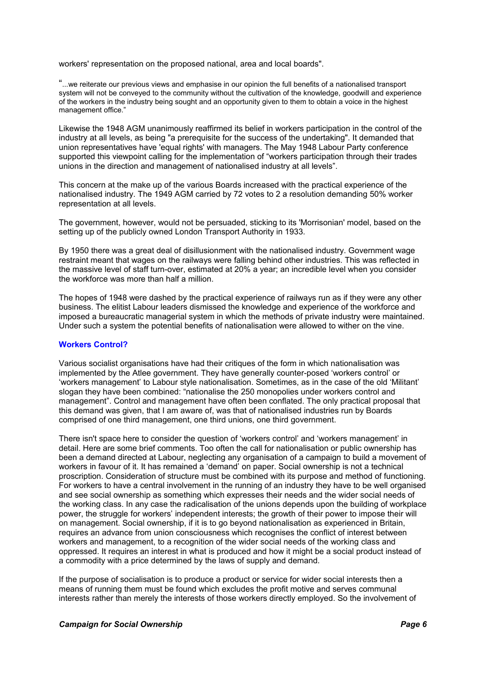workers' representation on the proposed national, area and local boards".

"...we reiterate our previous views and emphasise in our opinion the full benefits of a nationalised transport system will not be conveyed to the community without the cultivation of the knowledge, goodwill and experience of the workers in the industry being sought and an opportunity given to them to obtain a voice in the highest management office."

Likewise the 1948 AGM unanimously reaffirmed its belief in workers participation in the control of the industry at all levels, as being "a prerequisite for the success of the undertaking". It demanded that union representatives have 'equal rights' with managers. The May 1948 Labour Party conference supported this viewpoint calling for the implementation of "workers participation through their trades unions in the direction and management of nationalised industry at all levels".

This concern at the make up of the various Boards increased with the practical experience of the nationalised industry. The 1949 AGM carried by 72 votes to 2 a resolution demanding 50% worker representation at all levels.

The government, however, would not be persuaded, sticking to its 'Morrisonian' model, based on the setting up of the publicly owned London Transport Authority in 1933.

By 1950 there was a great deal of disillusionment with the nationalised industry. Government wage restraint meant that wages on the railways were falling behind other industries. This was reflected in the massive level of staff turn-over, estimated at 20% a year; an incredible level when you consider the workforce was more than half a million.

The hopes of 1948 were dashed by the practical experience of railways run as if they were any other business. The elitist Labour leaders dismissed the knowledge and experience of the workforce and imposed a bureaucratic managerial system in which the methods of private industry were maintained. Under such a system the potential benefits of nationalisation were allowed to wither on the vine.

#### **Workers Control?**

Various socialist organisations have had their critiques of the form in which nationalisation was implemented by the Atlee government. They have generally counter-posed 'workers control' or 'workers management' to Labour style nationalisation. Sometimes, as in the case of the old 'Militant' slogan they have been combined: "nationalise the 250 monopolies under workers control and management". Control and management have often been conflated. The only practical proposal that this demand was given, that I am aware of, was that of nationalised industries run by Boards comprised of one third management, one third unions, one third government.

There isn't space here to consider the question of 'workers control' and 'workers management' in detail. Here are some brief comments. Too often the call for nationalisation or public ownership has been a demand directed at Labour, neglecting any organisation of a campaign to build a movement of workers in favour of it. It has remained a 'demand' on paper. Social ownership is not a technical proscription. Consideration of structure must be combined with its purpose and method of functioning. For workers to have a central involvement in the running of an industry they have to be well organised and see social ownership as something which expresses their needs and the wider social needs of the working class. In any case the radicalisation of the unions depends upon the building of workplace power, the struggle for workers' independent interests; the growth of their power to impose their will on management. Social ownership, if it is to go beyond nationalisation as experienced in Britain, requires an advance from union consciousness which recognises the conflict of interest between workers and management, to a recognition of the wider social needs of the working class and oppressed. It requires an interest in what is produced and how it might be a social product instead of a commodity with a price determined by the laws of supply and demand.

If the purpose of socialisation is to produce a product or service for wider social interests then a means of running them must be found which excludes the profit motive and serves communal interests rather than merely the interests of those workers directly employed. So the involvement of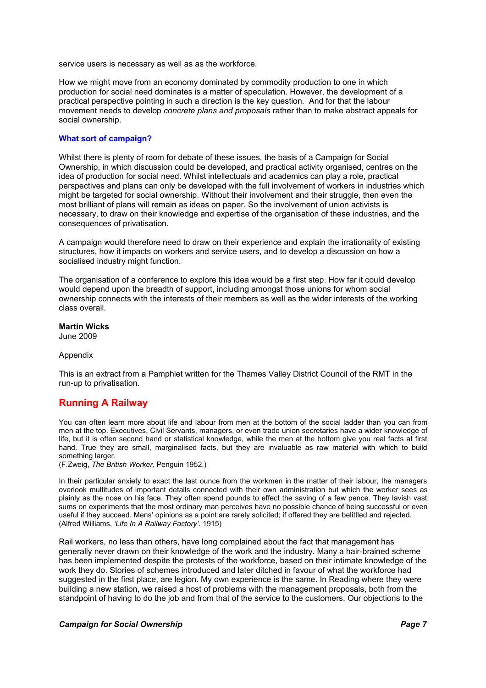service users is necessary as well as as the workforce.

How we might move from an economy dominated by commodity production to one in which production for social need dominates is a matter of speculation. However, the development of a practical perspective pointing in such a direction is the key question. And for that the labour movement needs to develop *concrete plans and proposals* rather than to make abstract appeals for social ownership.

#### **What sort of campaign?**

Whilst there is plenty of room for debate of these issues, the basis of a Campaign for Social Ownership, in which discussion could be developed, and practical activity organised, centres on the idea of production for social need. Whilst intellectuals and academics can play a role, practical perspectives and plans can only be developed with the full involvement of workers in industries which might be targeted for social ownership. Without their involvement and their struggle, then even the most brilliant of plans will remain as ideas on paper. So the involvement of union activists is necessary, to draw on their knowledge and expertise of the organisation of these industries, and the consequences of privatisation.

A campaign would therefore need to draw on their experience and explain the irrationality of existing structures, how it impacts on workers and service users, and to develop a discussion on how a socialised industry might function.

The organisation of a conference to explore this idea would be a first step. How far it could develop would depend upon the breadth of support, including amongst those unions for whom social ownership connects with the interests of their members as well as the wider interests of the working class overall.

#### **Martin Wicks**

June 2009

#### Appendix

This is an extract from a Pamphlet written for the Thames Valley District Council of the RMT in the run-up to privatisation.

# **Running A Railway**

You can often learn more about life and labour from men at the bottom of the social ladder than you can from men at the top. Executives, Civil Servants, managers, or even trade union secretaries have a wider knowledge of life, but it is often second hand or statistical knowledge, while the men at the bottom give you real facts at first hand. True they are small, marginalised facts, but they are invaluable as raw material with which to build something larger.

(F.Zweig, *The British Worker,* Penguin 1952.)

In their particular anxiety to exact the last ounce from the workmen in the matter of their labour, the managers overlook multitudes of important details connected with their own administration but which the worker sees as plainly as the nose on his face. They often spend pounds to effect the saving of a few pence. They lavish vast sums on experiments that the most ordinary man perceives have no possible chance of being successful or even useful if they succeed. Mens' opinions as a point are rarely solicited; if offered they are belittled and rejected. (Alfred Williams, *'Life In A Railway Factory'*. 1915)

Rail workers, no less than others, have long complained about the fact that management has generally never drawn on their knowledge of the work and the industry. Many a hair-brained scheme has been implemented despite the protests of the workforce, based on their intimate knowledge of the work they do. Stories of schemes introduced and later ditched in favour of what the workforce had suggested in the first place, are legion. My own experience is the same. In Reading where they were building a new station, we raised a host of problems with the management proposals, both from the standpoint of having to do the job and from that of the service to the customers. Our objections to the

#### *Campaign for Social Ownership Page 7*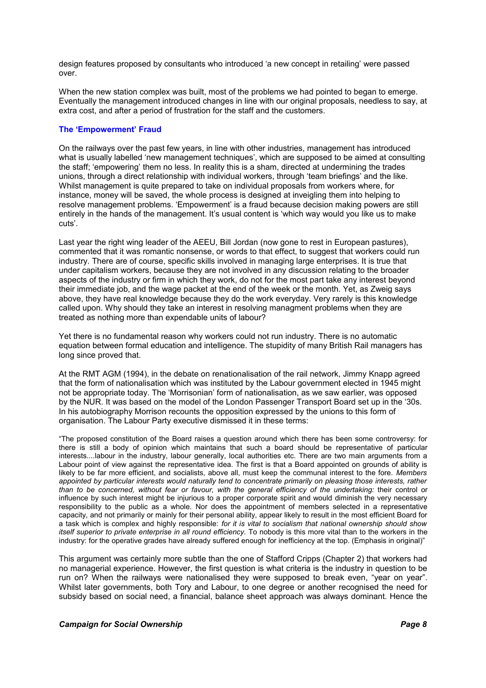design features proposed by consultants who introduced 'a new concept in retailing' were passed over.

When the new station complex was built, most of the problems we had pointed to began to emerge. Eventually the management introduced changes in line with our original proposals, needless to say, at extra cost, and after a period of frustration for the staff and the customers.

#### **The 'Empowerment' Fraud**

On the railways over the past few years, in line with other industries, management has introduced what is usually labelled 'new management techniques', which are supposed to be aimed at consulting the staff; 'empowering' them no less. In reality this is a sham, directed at undermining the trades unions, through a direct relationship with individual workers, through 'team briefings' and the like. Whilst management is quite prepared to take on individual proposals from workers where, for instance, money will be saved, the whole process is designed at inveigling them into helping to resolve management problems. 'Empowerment' is a fraud because decision making powers are still entirely in the hands of the management. It's usual content is 'which way would you like us to make cuts'.

Last year the right wing leader of the AEEU, Bill Jordan (now gone to rest in European pastures), commented that it was romantic nonsense, or words to that effect, to suggest that workers could run industry. There are of course, specific skills involved in managing large enterprises. It is true that under capitalism workers, because they are not involved in any discussion relating to the broader aspects of the industry or firm in which they work, do not for the most part take any interest beyond their immediate job, and the wage packet at the end of the week or the month. Yet, as Zweig says above, they have real knowledge because they do the work everyday. Very rarely is this knowledge called upon. Why should they take an interest in resolving managment problems when they are treated as nothing more than expendable units of labour?

Yet there is no fundamental reason why workers could not run industry. There is no automatic equation between formal education and intelligence. The stupidity of many British Rail managers has long since proved that.

At the RMT AGM (1994), in the debate on renationalisation of the rail network, Jimmy Knapp agreed that the form of nationalisation which was instituted by the Labour government elected in 1945 might not be appropriate today. The 'Morrisonian' form of nationalisation, as we saw earlier, was opposed by the NUR. It was based on the model of the London Passenger Transport Board set up in the '30s. In his autobiography Morrison recounts the opposition expressed by the unions to this form of organisation. The Labour Party executive dismissed it in these terms:

"The proposed constitution of the Board raises a question around which there has been some controversy: for there is still a body of opinion which maintains that such a board should be representative of particular interests....labour in the industry, labour generally, local authorities etc. There are two main arguments from a Labour point of view against the representative idea. The first is that a Board appointed on grounds of ability is likely to be far more efficient, and socialists, above all, must keep the communal interest to the fore. *Members appointed by particular interests would naturally tend to concentrate primarily on pleasing those interests, rather than to be concerned, without fear or favour, with the general efficiency of the undertaking:* their control or influence by such interest might be injurious to a proper corporate spirit and would diminish the very necessary responsibility to the public as a whole. Nor does the appointment of members selected in a representative capacity, and not primarily or mainly for their personal ability, appear likely to result in the most efficient Board for a task which is complex and highly responsible: *for it is vital to socialism that national ownership should show itself superior to private enterprise in all round efficiency.* To nobody is this more vital than to the workers in the industry: for the operative grades have already suffered enough for inefficiency at the top. (Emphasis in original)"

This argument was certainly more subtle than the one of Stafford Cripps (Chapter 2) that workers had no managerial experience. However, the first question is what criteria is the industry in question to be run on? When the railways were nationalised they were supposed to break even, "year on year". Whilst later governments, both Tory and Labour, to one degree or another recognised the need for subsidy based on social need, a financial, balance sheet approach was always dominant. Hence the